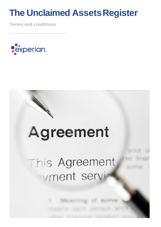# **The Unclaimed Assets Register**

Terms and conditions



# Agreement This Agreement vment serv